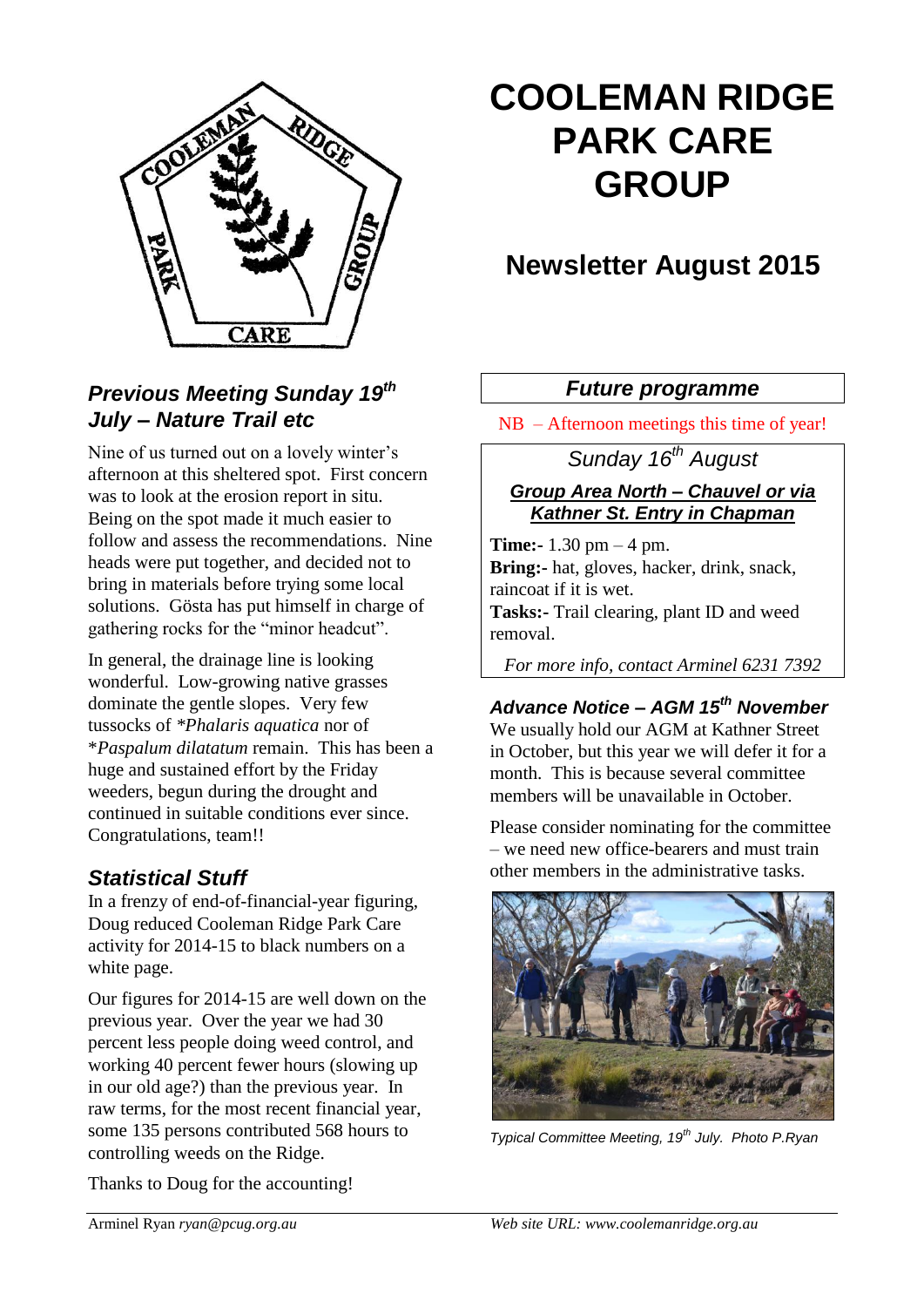

# **COOLEMAN RIDGE PARK CARE GROUP**

# **Newsletter August 2015**

# *Previous Meeting Sunday 19th July – Nature Trail etc*

Nine of us turned out on a lovely winter's afternoon at this sheltered spot. First concern was to look at the erosion report in situ. Being on the spot made it much easier to follow and assess the recommendations. Nine heads were put together, and decided not to bring in materials before trying some local solutions. Gösta has put himself in charge of gathering rocks for the "minor headcut".

In general, the drainage line is looking wonderful. Low-growing native grasses dominate the gentle slopes. Very few tussocks of *\*Phalaris aquatica* nor of \**Paspalum dilatatum* remain. This has been a huge and sustained effort by the Friday weeders, begun during the drought and continued in suitable conditions ever since. Congratulations, team!!

# *Statistical Stuff*

In a frenzy of end-of-financial-year figuring, Doug reduced Cooleman Ridge Park Care activity for 2014-15 to black numbers on a white page.

Our figures for 2014-15 are well down on the previous year. Over the year we had 30 percent less people doing weed control, and working 40 percent fewer hours (slowing up in our old age?) than the previous year. In raw terms, for the most recent financial year, some 135 persons contributed 568 hours to controlling weeds on the Ridge.

Thanks to Doug for the accounting!

## *Future programme*

NB – Afternoon meetings this time of year!

# *Sunday 16th August*

### *Group Area North – Chauvel or via Kathner St. Entry in Chapman*

**Time:-** 1.30 pm – 4 pm. **Bring:-** hat, gloves, hacker, drink, snack, raincoat if it is wet. **Tasks:-** Trail clearing, plant ID and weed removal.

*For more info, contact Arminel 6231 7392*

# *Advance Notice – AGM 15th November* We usually hold our AGM at Kathner Street

in October, but this year we will defer it for a month. This is because several committee members will be unavailable in October.

Please consider nominating for the committee – we need new office-bearers and must train other members in the administrative tasks.



*Typical Committee Meeting, 19th July. Photo P.Ryan*